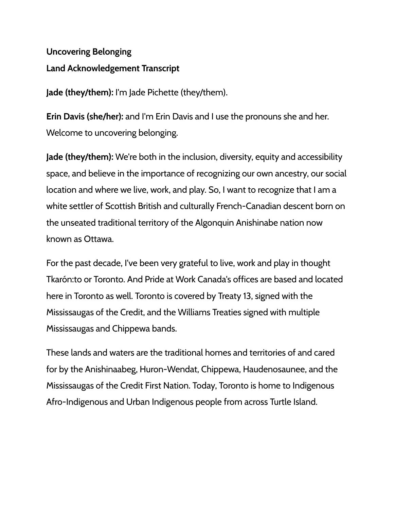## **Uncovering Belonging Land Acknowledgement Transcript**

**Jade (they/them):** I'm Jade Pichette (they/them).

**Erin Davis (she/her):** and I'm Erin Davis and I use the pronouns she and her. Welcome to uncovering belonging.

**Jade (they/them):** We're both in the inclusion, diversity, equity and accessibility space, and believe in the importance of recognizing our own ancestry, our social location and where we live, work, and play. So, I want to recognize that I am a white settler of Scottish British and culturally French-Canadian descent born on the unseated traditional territory of the Algonquin Anishinabe nation now known as Ottawa.

For the past decade, I've been very grateful to live, work and play in thought Tkarón:to or Toronto. And Pride at Work Canada's offices are based and located here in Toronto as well. Toronto is covered by Treaty 13, signed with the Mississaugas of the Credit, and the Williams Treaties signed with multiple Mississaugas and Chippewa bands.

These lands and waters are the traditional homes and territories of and cared for by the Anishinaabeg, Huron-Wendat, Chippewa, Haudenosaunee, and the Mississaugas of the Credit First Nation. Today, Toronto is home to Indigenous Afro-Indigenous and Urban Indigenous people from across Turtle Island.